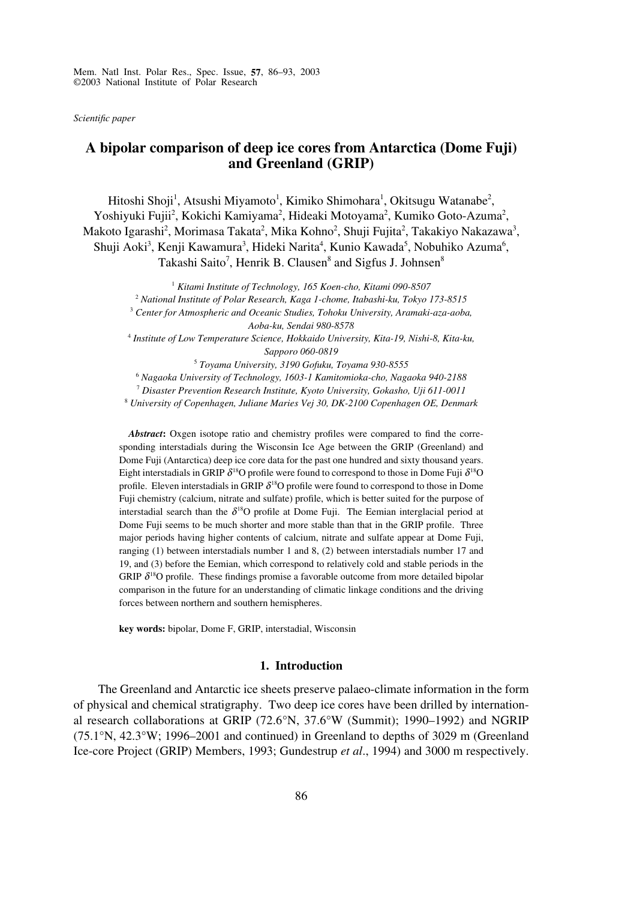Mem. Natl Inst. Polar Res., Spec. Issue, **57**, 86–93, 2003 ©2003 National Institute of Polar Research

*Scientific paper*

# **A bipolar comparison of deep ice cores from Antarctica (Dome Fuji) and Greenland (GRIP)**

Hitoshi Shoji<sup>1</sup>, Atsushi Miyamoto<sup>1</sup>, Kimiko Shimohara<sup>1</sup>, Okitsugu Watanabe<sup>2</sup>, Yoshiyuki Fujii<sup>2</sup>, Kokichi Kamiyama<sup>2</sup>, Hideaki Motoyama<sup>2</sup>, Kumiko Goto-Azuma<sup>2</sup>, Makoto Igarashi<sup>2</sup>, Morimasa Takata<sup>2</sup>, Mika Kohno<sup>2</sup>, Shuji Fujita<sup>2</sup>, Takakiyo Nakazawa<sup>3</sup>, Shuji Aoki<sup>3</sup>, Kenji Kawamura<sup>3</sup>, Hideki Narita<sup>4</sup>, Kunio Kawada<sup>5</sup>, Nobuhiko Azuma<sup>6</sup>, Takashi Saito<sup>7</sup>, Henrik B. Clausen<sup>8</sup> and Sigfus J. Johnsen<sup>8</sup>

> <sup>1</sup> *Kitami Institute of Technology, 165 Koen-cho, Kitami 090-8507* <sup>2</sup> *National Institute of Polar Research, Kaga 1-chome, Itabashi-ku, Tokyo 173-8515*

<sup>3</sup> *Center for Atmospheric and Oceanic Studies, Tohoku University, Aramaki-aza-aoba, Aoba-ku, Sendai 980-8578*

<sup>4</sup> *Institute of Low Temperature Science, Hokkaido University, Kita-19, Nishi-8, Kita-ku, Sapporo 060-0819*

<sup>5</sup> *Toyama University, 3190 Gofuku, Toyama 930-8555*

<sup>6</sup> *Nagaoka University of Technology, 1603-1 Kamitomioka-cho, Nagaoka 940-2188*

<sup>7</sup> *Disaster Prevention Research Institute, Kyoto University, Gokasho, Uji 611-0011*

<sup>8</sup> *University of Copenhagen, Juliane Maries Vej 30, DK-2100 Copenhagen OE, Denmark*

*Abstract***:** Oxgen isotope ratio and chemistry profiles were compared to find the corresponding interstadials during the Wisconsin Ice Age between the GRIP (Greenland) and Dome Fuji (Antarctica) deep ice core data for the past one hundred and sixty thousand years. Eight interstadials in GRIP  $\delta^{18}O$  profile were found to correspond to those in Dome Fuji  $\delta^{18}O$ profile. Eleven interstadials in GRIP  $\delta^{18}O$  profile were found to correspond to those in Dome Fuji chemistry (calcium, nitrate and sulfate) profile, which is better suited for the purpose of interstadial search than the  $\delta^{18}O$  profile at Dome Fuji. The Eemian interglacial period at Dome Fuji seems to be much shorter and more stable than that in the GRIP profile. Three major periods having higher contents of calcium, nitrate and sulfate appear at Dome Fuji, ranging (1) between interstadials number 1 and 8, (2) between interstadials number 17 and 19, and (3) before the Eemian, which correspond to relatively cold and stable periods in the GRIP  $\delta^{18}$ O profile. These findings promise a favorable outcome from more detailed bipolar comparison in the future for an understanding of climatic linkage conditions and the driving forces between northern and southern hemispheres.

**key words:** bipolar, Dome F, GRIP, interstadial, Wisconsin

#### **1. Introduction**

The Greenland and Antarctic ice sheets preserve palaeo-climate information in the form of physical and chemical stratigraphy. Two deep ice cores have been drilled by international research collaborations at GRIP (72.6°N, 37.6°W (Summit); 1990–1992) and NGRIP (75.1°N, 42.3°W; 1996–2001 and continued) in Greenland to depths of 3029 m (Greenland Ice-core Project (GRIP) Members, 1993; Gundestrup *et al*., 1994) and 3000 m respectively.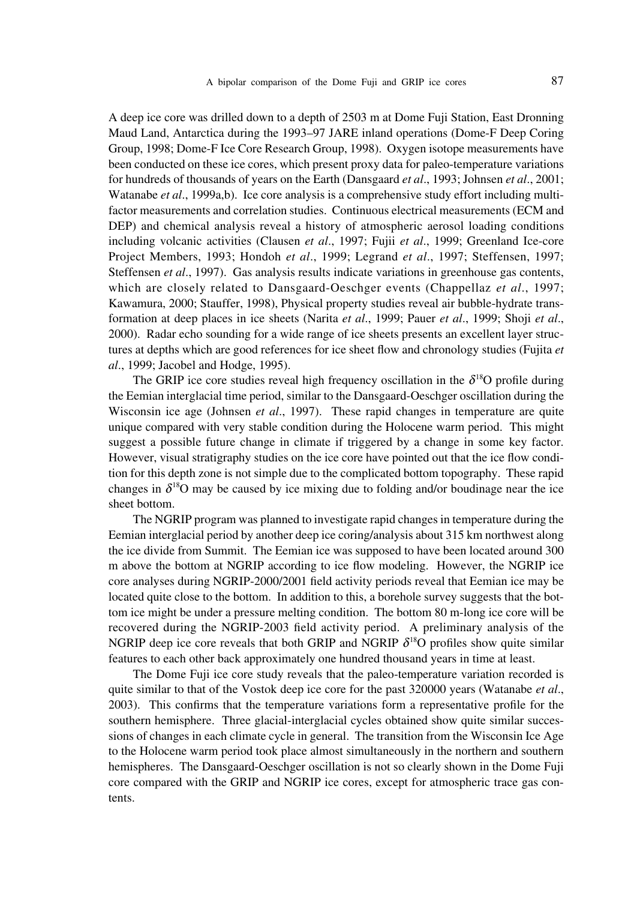A deep ice core was drilled down to a depth of 2503 m at Dome Fuji Station, East Dronning Maud Land, Antarctica during the 1993–97 JARE inland operations (Dome-F Deep Coring Group, 1998; Dome-F Ice Core Research Group, 1998). Oxygen isotope measurements have been conducted on these ice cores, which present proxy data for paleo-temperature variations for hundreds of thousands of years on the Earth (Dansgaard *et al*., 1993; Johnsen *et al*., 2001; Watanabe *et al*., 1999a,b). Ice core analysis is a comprehensive study effort including multifactor measurements and correlation studies. Continuous electrical measurements (ECM and DEP) and chemical analysis reveal a history of atmospheric aerosol loading conditions including volcanic activities (Clausen *et al*., 1997; Fujii *et al*., 1999; Greenland Ice-core Project Members, 1993; Hondoh *et al*., 1999; Legrand *et al*., 1997; Steffensen, 1997; Steffensen *et al*., 1997). Gas analysis results indicate variations in greenhouse gas contents, which are closely related to Dansgaard-Oeschger events (Chappellaz *et al*., 1997; Kawamura, 2000; Stauffer, 1998), Physical property studies reveal air bubble-hydrate transformation at deep places in ice sheets (Narita *et al*., 1999; Pauer *et al*., 1999; Shoji *et al*., 2000). Radar echo sounding for a wide range of ice sheets presents an excellent layer structures at depths which are good references for ice sheet flow and chronology studies (Fujita *et al*., 1999; Jacobel and Hodge, 1995).

The GRIP ice core studies reveal high frequency oscillation in the  $\delta^{18}O$  profile during the Eemian interglacial time period, similar to the Dansgaard-Oeschger oscillation during the Wisconsin ice age (Johnsen *et al*., 1997). These rapid changes in temperature are quite unique compared with very stable condition during the Holocene warm period. This might suggest a possible future change in climate if triggered by a change in some key factor. However, visual stratigraphy studies on the ice core have pointed out that the ice flow condition for this depth zone is not simple due to the complicated bottom topography. These rapid changes in  $\delta^{18}$ O may be caused by ice mixing due to folding and/or boudinage near the ice sheet bottom.

The NGRIP program was planned to investigate rapid changes in temperature during the Eemian interglacial period by another deep ice coring/analysis about 315 km northwest along the ice divide from Summit. The Eemian ice was supposed to have been located around 300 m above the bottom at NGRIP according to ice flow modeling. However, the NGRIP ice core analyses during NGRIP-2000/2001 field activity periods reveal that Eemian ice may be located quite close to the bottom. In addition to this, a borehole survey suggests that the bottom ice might be under a pressure melting condition. The bottom 80 m-long ice core will be recovered during the NGRIP-2003 field activity period. A preliminary analysis of the NGRIP deep ice core reveals that both GRIP and NGRIP  $\delta^{18}$ O profiles show quite similar features to each other back approximately one hundred thousand years in time at least.

The Dome Fuji ice core study reveals that the paleo-temperature variation recorded is quite similar to that of the Vostok deep ice core for the past 320000 years (Watanabe *et al*., 2003). This confirms that the temperature variations form a representative profile for the southern hemisphere. Three glacial-interglacial cycles obtained show quite similar successions of changes in each climate cycle in general. The transition from the Wisconsin Ice Age to the Holocene warm period took place almost simultaneously in the northern and southern hemispheres. The Dansgaard-Oeschger oscillation is not so clearly shown in the Dome Fuji core compared with the GRIP and NGRIP ice cores, except for atmospheric trace gas contents.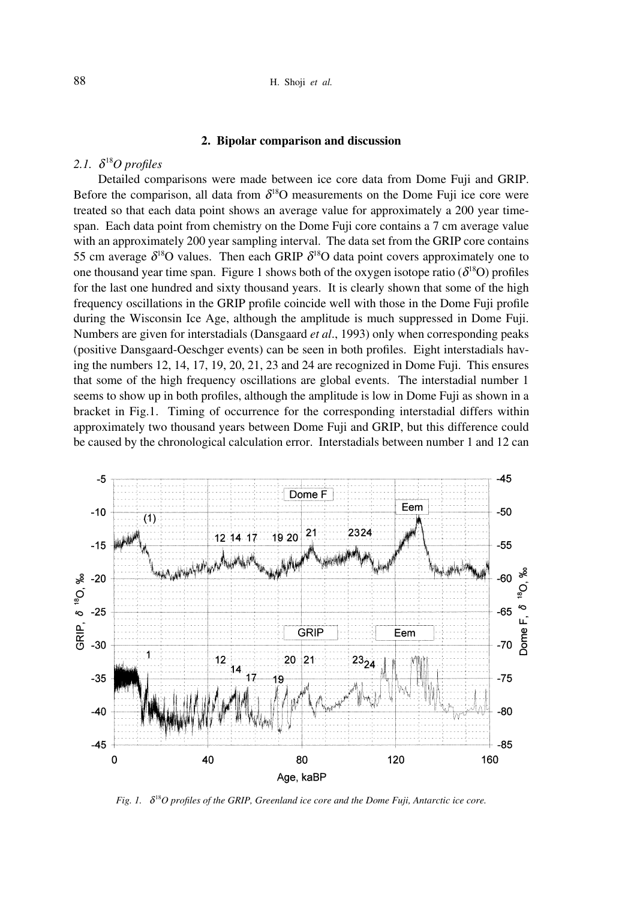#### **2. Bipolar comparison and discussion**

## 2.1.  $\delta^{18}O$  profiles

Detailed comparisons were made between ice core data from Dome Fuji and GRIP. Before the comparison, all data from  $\delta^{18}O$  measurements on the Dome Fuji ice core were treated so that each data point shows an average value for approximately a 200 year timespan. Each data point from chemistry on the Dome Fuji core contains a 7 cm average value with an approximately 200 year sampling interval. The data set from the GRIP core contains 55 cm average  $\delta^{18}O$  values. Then each GRIP  $\delta^{18}O$  data point covers approximately one to one thousand year time span. Figure 1 shows both of the oxygen isotope ratio  $(\delta^{18}O)$  profiles for the last one hundred and sixty thousand years. It is clearly shown that some of the high frequency oscillations in the GRIP profile coincide well with those in the Dome Fuji profile during the Wisconsin Ice Age, although the amplitude is much suppressed in Dome Fuji. Numbers are given for interstadials (Dansgaard *et al*., 1993) only when corresponding peaks (positive Dansgaard-Oeschger events) can be seen in both profiles. Eight interstadials having the numbers 12, 14, 17, 19, 20, 21, 23 and 24 are recognized in Dome Fuji. This ensures that some of the high frequency oscillations are global events. The interstadial number 1 seems to show up in both profiles, although the amplitude is low in Dome Fuji as shown in a bracket in Fig.1. Timing of occurrence for the corresponding interstadial differs within approximately two thousand years between Dome Fuji and GRIP, but this difference could be caused by the chronological calculation error. Interstadials between number 1 and 12 can



*Fig. 1.*  $\delta^{18}O$  profiles of the GRIP, Greenland ice core and the Dome Fuji, Antarctic ice core.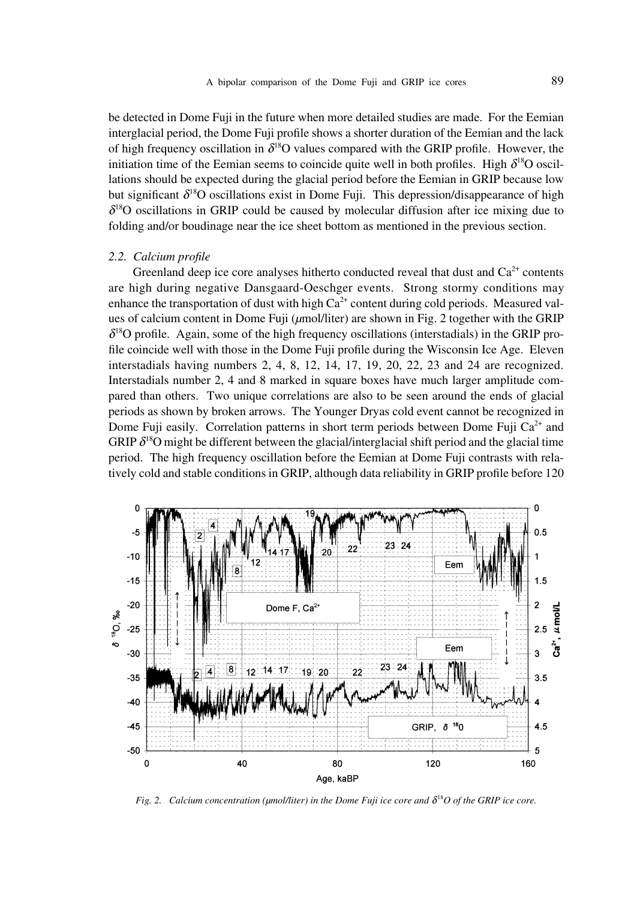be detected in Dome Fuji in the future when more detailed studies are made. For the Eemian interglacial period, the Dome Fuji profile shows a shorter duration of the Eemian and the lack of high frequency oscillation in  $\delta^{18}O$  values compared with the GRIP profile. However, the initiation time of the Eemian seems to coincide quite well in both profiles. High  $\delta^{18}O$  oscillations should be expected during the glacial period before the Eemian in GRIP because low but significant  $\delta^{18}$ O oscillations exist in Dome Fuji. This depression/disappearance of high  $\delta$ <sup>18</sup>O oscillations in GRIP could be caused by molecular diffusion after ice mixing due to folding and/or boudinage near the ice sheet bottom as mentioned in the previous section.

#### *2.2. Calcium profile*

Greenland deep ice core analyses hitherto conducted reveal that dust and  $Ca<sup>2+</sup>$  contents are high during negative Dansgaard-Oeschger events. Strong stormy conditions may enhance the transportation of dust with high  $Ca^{2+}$  content during cold periods. Measured values of calcium content in Dome Fuji (*µ*mol/liter) are shown in Fig. 2 together with the GRIP  $\delta^{18}$ O profile. Again, some of the high frequency oscillations (interstadials) in the GRIP profile coincide well with those in the Dome Fuji profile during the Wisconsin Ice Age. Eleven interstadials having numbers 2, 4, 8, 12, 14, 17, 19, 20, 22, 23 and 24 are recognized. Interstadials number 2, 4 and 8 marked in square boxes have much larger amplitude compared than others. Two unique correlations are also to be seen around the ends of glacial periods as shown by broken arrows. The Younger Dryas cold event cannot be recognized in Dome Fuji easily. Correlation patterns in short term periods between Dome Fuji  $Ca^{2+}$  and GRIP  $\delta^{18}$ O might be different between the glacial/interglacial shift period and the glacial time period. The high frequency oscillation before the Eemian at Dome Fuji contrasts with relatively cold and stable conditions in GRIP, although data reliability in GRIP profile before 120



*Fig. 2.* Calcium concentration ( $\mu$ mol/liter) in the Dome Fuji ice core and  $\delta^{18}O$  of the GRIP ice core.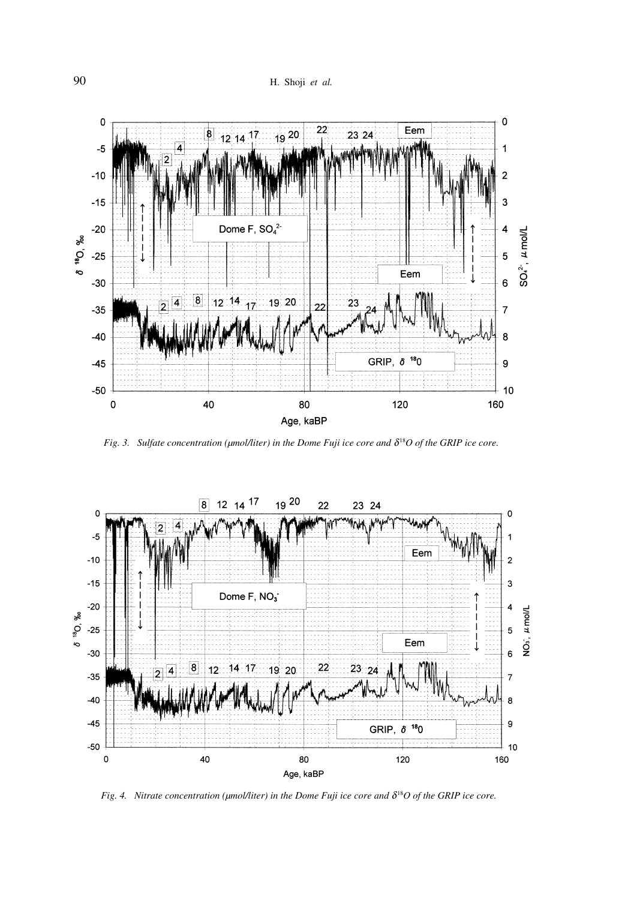

*Fig. 3.* Sulfate concentration ( $\mu$ mol/liter) in the Dome Fuji ice core and  $\delta^{18}O$  of the GRIP ice core.



*Fig. 4. Nitrate concentration (µmol/liter) in the Dome Fuji ice core and*  $\delta^{18}O$  *of the GRIP ice core.*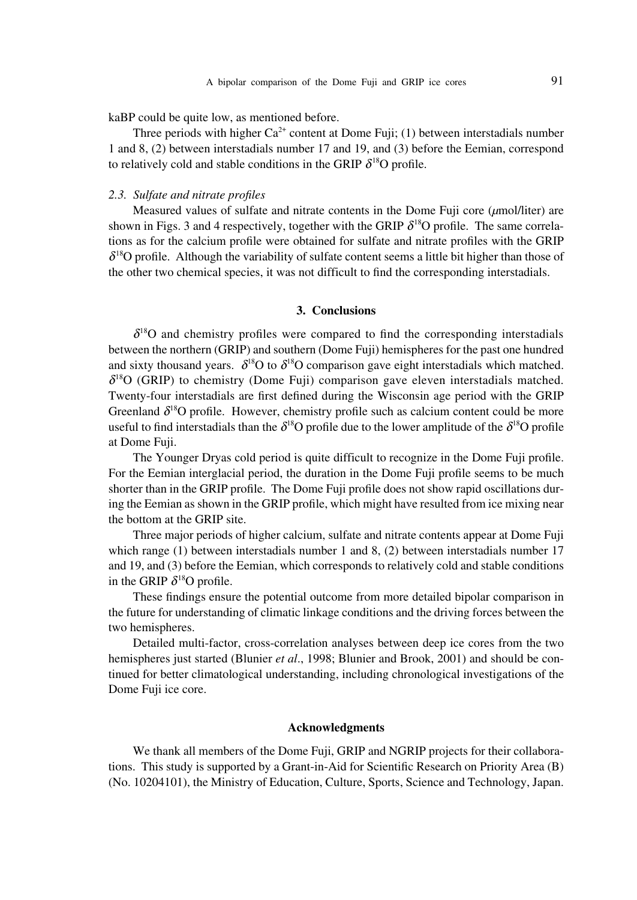kaBP could be quite low, as mentioned before.

Three periods with higher  $Ca^{2+}$  content at Dome Fuji; (1) between interstadials number 1 and 8, (2) between interstadials number 17 and 19, and (3) before the Eemian, correspond to relatively cold and stable conditions in the GRIP  $\delta^{18}O$  profile.

### *2.3. Sulfate and nitrate profiles*

Measured values of sulfate and nitrate contents in the Dome Fuji core (*µ*mol/liter) are shown in Figs. 3 and 4 respectively, together with the GRIP  $\delta^{18}$ O profile. The same correlations as for the calcium profile were obtained for sulfate and nitrate profiles with the GRIP  $\delta^{18}$ O profile. Although the variability of sulfate content seems a little bit higher than those of the other two chemical species, it was not difficult to find the corresponding interstadials.

### **3. Conclusions**

 $\delta$ <sup>18</sup>O and chemistry profiles were compared to find the corresponding interstadials between the northern (GRIP) and southern (Dome Fuji) hemispheres for the past one hundred and sixty thousand years.  $\delta^{18}O$  to  $\delta^{18}O$  comparison gave eight interstadials which matched.  $\delta^{18}$ O (GRIP) to chemistry (Dome Fuji) comparison gave eleven interstadials matched. Twenty-four interstadials are first defined during the Wisconsin age period with the GRIP Greenland  $\delta^{18}$ O profile. However, chemistry profile such as calcium content could be more useful to find interstadials than the  $\delta^{18}O$  profile due to the lower amplitude of the  $\delta^{18}O$  profile at Dome Fuji.

The Younger Dryas cold period is quite difficult to recognize in the Dome Fuji profile. For the Eemian interglacial period, the duration in the Dome Fuji profile seems to be much shorter than in the GRIP profile. The Dome Fuji profile does not show rapid oscillations during the Eemian as shown in the GRIP profile, which might have resulted from ice mixing near the bottom at the GRIP site.

Three major periods of higher calcium, sulfate and nitrate contents appear at Dome Fuji which range (1) between interstadials number 1 and 8, (2) between interstadials number 17 and 19, and (3) before the Eemian, which corresponds to relatively cold and stable conditions in the GRIP  $\delta^{18}$ O profile.

These findings ensure the potential outcome from more detailed bipolar comparison in the future for understanding of climatic linkage conditions and the driving forces between the two hemispheres.

Detailed multi-factor, cross-correlation analyses between deep ice cores from the two hemispheres just started (Blunier *et al*., 1998; Blunier and Brook, 2001) and should be continued for better climatological understanding, including chronological investigations of the Dome Fuji ice core.

### **Acknowledgments**

We thank all members of the Dome Fuji, GRIP and NGRIP projects for their collaborations. This study is supported by a Grant-in-Aid for Scientific Research on Priority Area (B) (No. 10204101), the Ministry of Education, Culture, Sports, Science and Technology, Japan.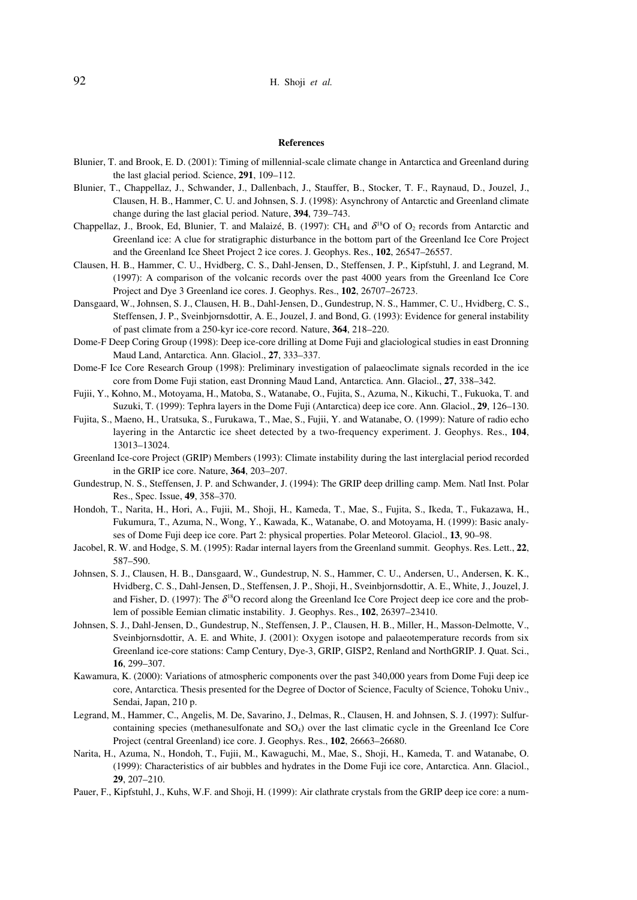#### **References**

- Blunier, T. and Brook, E. D. (2001): Timing of millennial-scale climate change in Antarctica and Greenland during the last glacial period. Science, **291**, 109–112.
- Blunier, T., Chappellaz, J., Schwander, J., Dallenbach, J., Stauffer, B., Stocker, T. F., Raynaud, D., Jouzel, J., Clausen, H. B., Hammer, C. U. and Johnsen, S. J. (1998): Asynchrony of Antarctic and Greenland climate change during the last glacial period. Nature, **394**, 739–743.
- Chappellaz, J., Brook, Ed, Blunier, T. and Malaizé, B. (1997): CH<sub>4</sub> and  $\delta^{18}O$  of O<sub>2</sub> records from Antarctic and Greenland ice: A clue for stratigraphic disturbance in the bottom part of the Greenland Ice Core Project and the Greenland Ice Sheet Project 2 ice cores. J. Geophys. Res., **102**, 26547–26557.
- Clausen, H. B., Hammer, C. U., Hvidberg, C. S., Dahl-Jensen, D., Steffensen, J. P., Kipfstuhl, J. and Legrand, M. (1997): A comparison of the volcanic records over the past 4000 years from the Greenland Ice Core Project and Dye 3 Greenland ice cores. J. Geophys. Res., **102**, 26707–26723.
- Dansgaard, W., Johnsen, S. J., Clausen, H. B., Dahl-Jensen, D., Gundestrup, N. S., Hammer, C. U., Hvidberg, C. S., Steffensen, J. P., Sveinbjornsdottir, A. E., Jouzel, J. and Bond, G. (1993): Evidence for general instability of past climate from a 250-kyr ice-core record. Nature, **364**, 218–220.
- Dome-F Deep Coring Group (1998): Deep ice-core drilling at Dome Fuji and glaciological studies in east Dronning Maud Land, Antarctica. Ann. Glaciol., **27**, 333–337.
- Dome-F Ice Core Research Group (1998): Preliminary investigation of palaeoclimate signals recorded in the ice core from Dome Fuji station, east Dronning Maud Land, Antarctica. Ann. Glaciol., **27**, 338–342.
- Fujii, Y., Kohno, M., Motoyama, H., Matoba, S., Watanabe, O., Fujita, S., Azuma, N., Kikuchi, T., Fukuoka, T. and Suzuki, T. (1999): Tephra layers in the Dome Fuji (Antarctica) deep ice core. Ann. Glaciol., **29**, 126–130.
- Fujita, S., Maeno, H., Uratsuka, S., Furukawa, T., Mae, S., Fujii, Y. and Watanabe, O. (1999): Nature of radio echo layering in the Antarctic ice sheet detected by a two-frequency experiment. J. Geophys. Res., **104**, 13013–13024.
- Greenland Ice-core Project (GRIP) Members (1993): Climate instability during the last interglacial period recorded in the GRIP ice core. Nature, **364**, 203–207.
- Gundestrup, N. S., Steffensen, J. P. and Schwander, J. (1994): The GRIP deep drilling camp. Mem. Natl Inst. Polar Res., Spec. Issue, **49**, 358–370.
- Hondoh, T., Narita, H., Hori, A., Fujii, M., Shoji, H., Kameda, T., Mae, S., Fujita, S., Ikeda, T., Fukazawa, H., Fukumura, T., Azuma, N., Wong, Y., Kawada, K., Watanabe, O. and Motoyama, H. (1999): Basic analyses of Dome Fuji deep ice core. Part 2: physical properties. Polar Meteorol. Glaciol., **13**, 90–98.
- Jacobel, R. W. and Hodge, S. M. (1995): Radar internal layers from the Greenland summit. Geophys. Res. Lett., **22**, 587–590.
- Johnsen, S. J., Clausen, H. B., Dansgaard, W., Gundestrup, N. S., Hammer, C. U., Andersen, U., Andersen, K. K., Hvidberg, C. S., Dahl-Jensen, D., Steffensen, J. P., Shoji, H., Sveinbjornsdottir, A. E., White, J., Jouzel, J. and Fisher, D. (1997): The  $\delta^{18}$ O record along the Greenland Ice Core Project deep ice core and the problem of possible Eemian climatic instability. J. Geophys. Res., **102**, 26397–23410.
- Johnsen, S. J., Dahl-Jensen, D., Gundestrup, N., Steffensen, J. P., Clausen, H. B., Miller, H., Masson-Delmotte, V., Sveinbjornsdottir, A. E. and White, J. (2001): Oxygen isotope and palaeotemperature records from six Greenland ice-core stations: Camp Century, Dye-3, GRIP, GISP2, Renland and NorthGRIP. J. Quat. Sci., **16**, 299–307.
- Kawamura, K. (2000): Variations of atmospheric components over the past 340,000 years from Dome Fuji deep ice core, Antarctica. Thesis presented for the Degree of Doctor of Science, Faculty of Science, Tohoku Univ., Sendai, Japan, 210 p.
- Legrand, M., Hammer, C., Angelis, M. De, Savarino, J., Delmas, R., Clausen, H. and Johnsen, S. J. (1997): Sulfurcontaining species (methanesulfonate and SO4) over the last climatic cycle in the Greenland Ice Core Project (central Greenland) ice core. J. Geophys. Res., **102**, 26663–26680.
- Narita, H., Azuma, N., Hondoh, T., Fujii, M., Kawaguchi, M., Mae, S., Shoji, H., Kameda, T. and Watanabe, O. (1999): Characteristics of air bubbles and hydrates in the Dome Fuji ice core, Antarctica. Ann. Glaciol., **29**, 207–210.
- Pauer, F., Kipfstuhl, J., Kuhs, W.F. and Shoji, H. (1999): Air clathrate crystals from the GRIP deep ice core: a num-